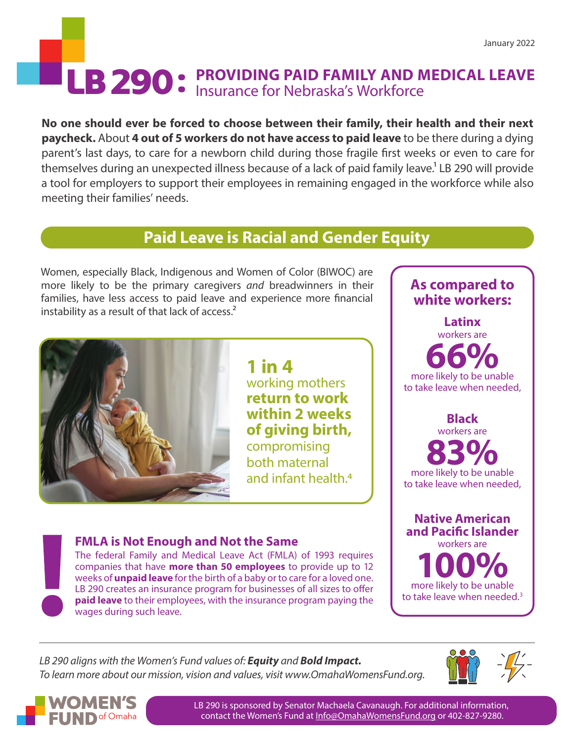# LB 290 : PROVIDING PAID FAMILY AND MEDICAL LEAVE Insurance for Nebraska's Workforce Insurance for Nebraska's Workforce

**No one should ever be forced to choose between their family, their health and their next paycheck.** About **4 out of 5 workers do not have access to paid leave** to be there during a dying parent's last days, to care for a newborn child during those fragile first weeks or even to care for themselves during an unexpected illness because of a lack of paid family leave.<sup>1</sup> LB 290 will provide a tool for employers to support their employees in remaining engaged in the workforce while also meeting their families' needs.

## **Paid Leave is Racial and Gender Equity**

Women, especially Black, Indigenous and Women of Color (BIWOC) are more likely to be the primary caregivers *and* breadwinners in their families, have less access to paid leave and experience more financial instability as a result of that lack of access.<sup>2</sup>



**1 in 4**  working mothers **return to work within 2 weeks of giving birth,** compromising both maternal and infant health.4

#### **FMLA is Not Enough and Not the Same**

The federal Family and Medical Leave Act (FMLA) of 1993 requires companies that have **more than 50 employees** to provide up to 12 weeks of **unpaid leave** for the birth of a baby or to care for a loved one. LB 290 creates an insurance program for businesses of all sizes to offer **paid leave** to their employees, with the insurance program paying the wages during such leave.



*LB 290 aligns with the Women's Fund values of: Equity and Bold Impact. To learn more about our mission, vision and values, visit www.OmahaWomensFund.org.*





LB 290 is sponsored by Senator Machaela Cavanaugh. For additional information, contact the Women's Fund at [Info@OmahaWomensFund.org](mailto:Info%40OmahaWomensFund.org%20?subject=) or 402-827-9280.